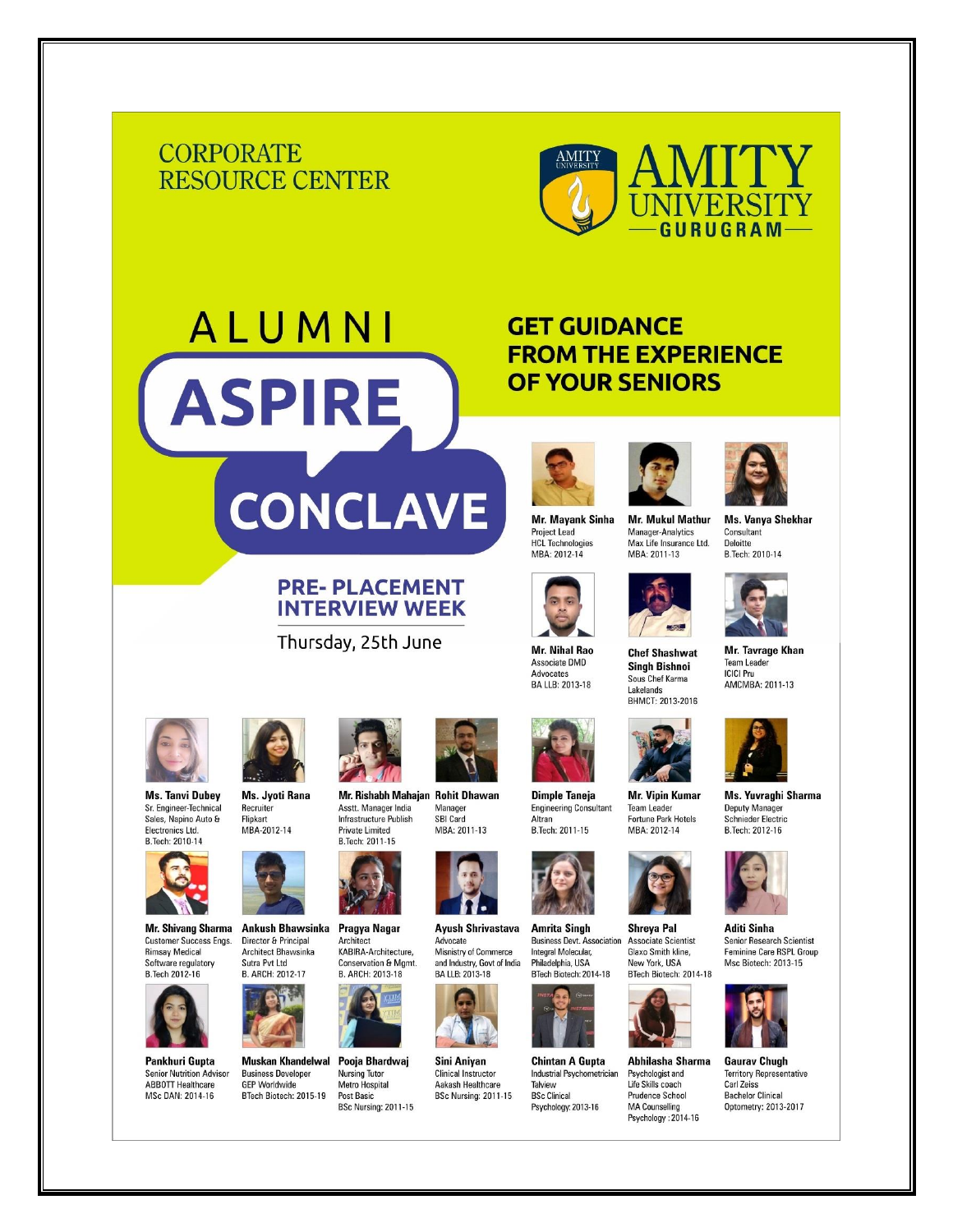## **CORPORATE RESOURCE CENTER**

ALUMNI

**ASPIRE** 

CONCLAVE

**PRE-PLACEMENT INTERVIEW WEEK** 

Thursday, 25th June

**Private Limited** 

**Nursing Tutor** 

**Post Basic** 

Metro Hospital



## **GET GUIDANCE FROM THE EXPERIENCE OF YOUR SENIORS**



**Mr. Mavank Sinha Project Lead HCL Technologies** MBA: 2012-14



**Mr. Nihal Rao** Associate DMD Advocates **BA LLB: 2013-18** 



**Mr. Mukul Mathur** Ms. Vanya Shekhar **Manager-Analytics** Consultant Max Life Insurance Ltd. **Deloitte** MBA: 2011-13 B.Tech: 2010-14



**Chef Shashwat Singh Bishnoi** Sous Chef Karma Lakelands BHMCT: 2013-2016

**Team Leader** 

MBA: 2012-14

Abhilasha Sharma

Psychologist and

Life Skills coach

**MA Counselling** Psychology: 2014-16

**Prudence School** 



Ms. Yuvraghi Sharma Deputy Manager Schnieder Electric

Mr. Tavrage Khan

AMCMBA: 2011-13

**Team Leader** 

**ICICI** Pru



**Aditi Sinha** Senior Research Scientist Feminine Care RSPL Group **Msc Biotech: 2013-15** 



**Gaurav Chugh Territory Representative** Carl Zeiss **Bachelor Clinical** Optometry: 2013-2017



**Ms. Tanvi Dubey** Sr. Engineer-Technical<br>Sales, Napino Auto & Electronics Ltd. B.Tech: 2010-14



Mr. Shivang Sharma Customer Success Engs. **Rimsay Medical** Software regulatory **B.Tech 2012-16** 



**Pankhuri Gupta Senior Nutrition Advisor ABBOTT Healthcare** MSc DAN: 2014-16



Flinkart MBA-2012-14



Ankush Bhawsinka Pragya Nagar Director & Principal Architect Architect Bhawsinka KABIRA-Architecture, Sutra Pvt Ltd **Conservation & Mgmt.** B. ARCH: 2012-17 B. ARCH: 2013-18



**Muskan Khandelwal** Pooja Bhardwaj **Business Developer GEP Worldwide** BTech Biotech: 2015-19 BSc Nursing: 2011-15

Mr. Rishabh Mahajan Rohit Dhawan Manager<br>SBI Card Asstt. Manager India Infrastructure Publish MBA: 2011-13



**Ayush Shrivastava** Advocate Misnistry of Commerce and Industry, Govt of India<br>BA LLB: 2013-18



Sini Anivan **Clinical Instructor** Aakash Healthcare **BSc Nursing: 2011-15** 





**Amrita Singh** Shreya Pal **Business Devt. Association** Associate Scientist Integral Molecular, Glaxo Smith kline, Philadelphia, USA New York, USA BTech Biotech: 2014-18 BTech Biotech: 2014-18



**Chintan A Gunta** Industrial Psychometrician Talview **BSc Clinical** Psychology: 2013-16



B.Tech: 2012-16



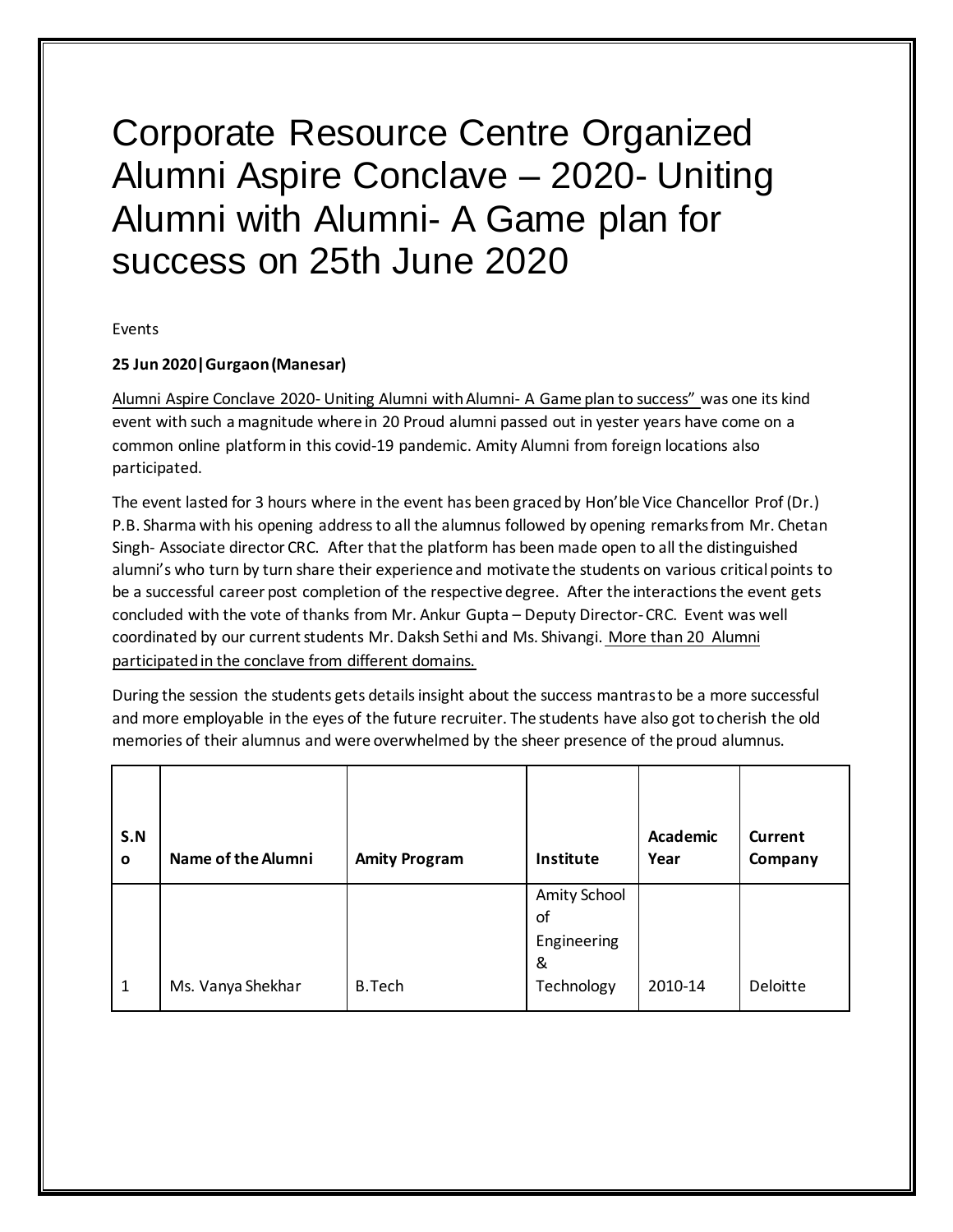## Corporate Resource Centre Organized Alumni Aspire Conclave – 2020- Uniting Alumni with Alumni- A Game plan for success on 25th June 2020

Events

## **25 Jun 2020|Gurgaon (Manesar)**

Alumni Aspire Conclave 2020- Uniting Alumni with Alumni- A Game plan to success" was one its kind event with such a magnitude where in 20 Proud alumni passed out in yester years have come on a common online platform in this covid-19 pandemic. Amity Alumni from foreign locations also participated.

The event lasted for 3 hours where in the event has been graced by Hon'ble Vice Chancellor Prof (Dr.) P.B. Sharma with his opening address to all the alumnus followed by opening remarks from Mr. Chetan Singh- Associate director CRC. After that the platform has been made open to all the distinguished alumni's who turn by turn share their experience and motivate the students on various critical points to be a successful career post completion of the respective degree. After the interactions the event gets concluded with the vote of thanks from Mr. Ankur Gupta – Deputy Director-CRC. Event was well coordinated by our current students Mr. Daksh Sethi and Ms. Shivangi. More than 20 Alumni participated in the conclave from different domains.

During the session the students gets details insight about the success mantras to be a more successful and more employable in the eyes of the future recruiter. The students have also got to cherish the old memories of their alumnus and were overwhelmed by the sheer presence of the proud alumnus.

| S.N<br>$\mathbf{o}$ | Name of the Alumni | <b>Amity Program</b> | Institute                              | <b>Academic</b><br>Year | <b>Current</b><br>Company |
|---------------------|--------------------|----------------------|----------------------------------------|-------------------------|---------------------------|
|                     |                    |                      | Amity School<br>οf<br>Engineering<br>& |                         |                           |
| 1                   | Ms. Vanya Shekhar  | <b>B.Tech</b>        | Technology                             | 2010-14                 | Deloitte                  |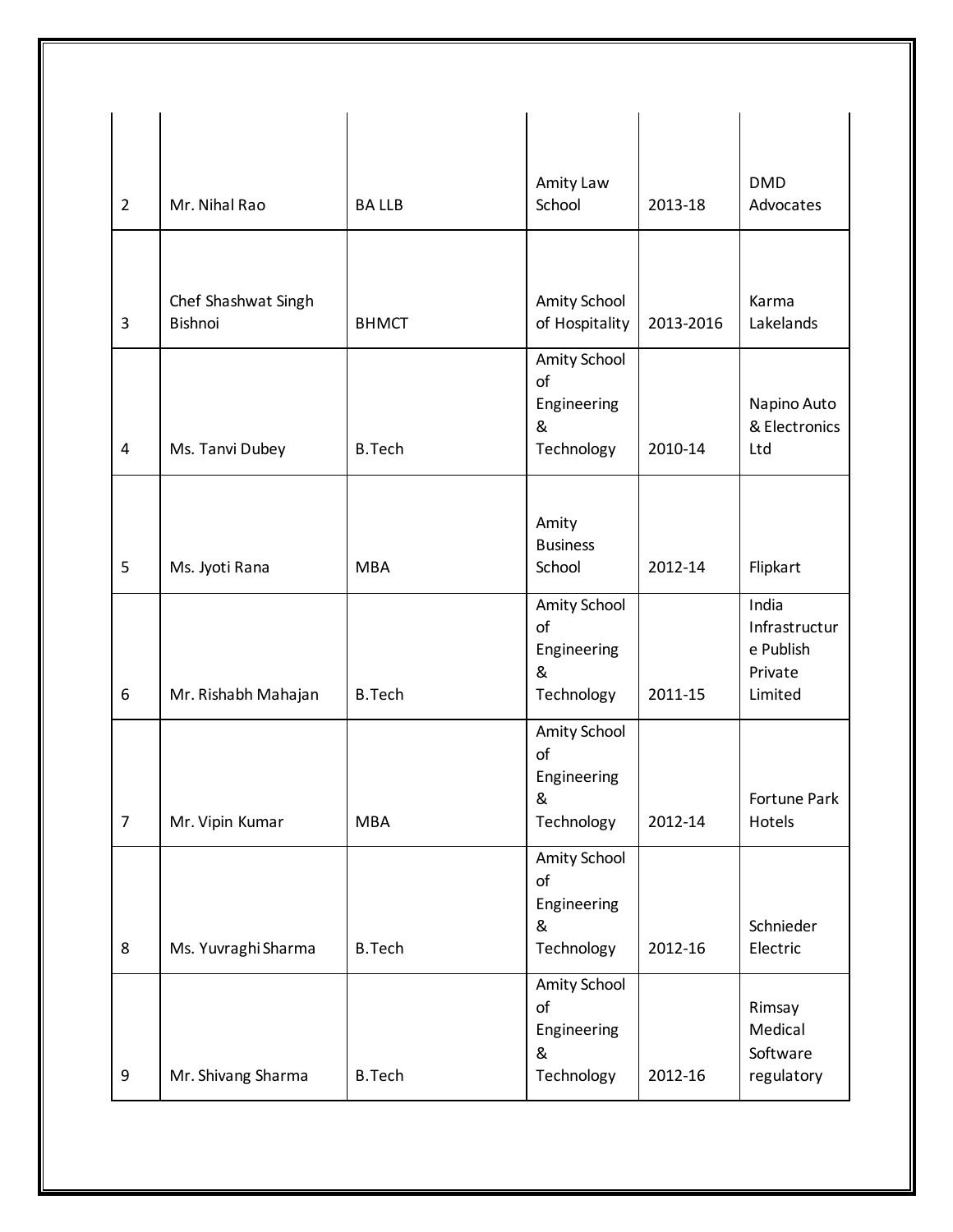| $\overline{2}$ | Mr. Nihal Rao                  | <b>BALLB</b>  | Amity Law<br>School                                  | 2013-18   | <b>DMD</b><br>Advocates                                   |
|----------------|--------------------------------|---------------|------------------------------------------------------|-----------|-----------------------------------------------------------|
|                |                                |               |                                                      |           |                                                           |
| 3              | Chef Shashwat Singh<br>Bishnoi | <b>BHMCT</b>  | Amity School<br>of Hospitality                       | 2013-2016 | Karma<br>Lakelands                                        |
| 4              | Ms. Tanvi Dubey                | <b>B.Tech</b> | Amity School<br>of<br>Engineering<br>&<br>Technology | 2010-14   | Napino Auto<br>& Electronics<br>Ltd                       |
|                |                                |               |                                                      |           |                                                           |
| 5              | Ms. Jyoti Rana                 | <b>MBA</b>    | Amity<br><b>Business</b><br>School                   | 2012-14   | Flipkart                                                  |
| 6              | Mr. Rishabh Mahajan            | <b>B.Tech</b> | Amity School<br>of<br>Engineering<br>&<br>Technology | 2011-15   | India<br>Infrastructur<br>e Publish<br>Private<br>Limited |
| $\overline{7}$ | Mr. Vipin Kumar                | <b>MBA</b>    | Amity School<br>of<br>Engineering<br>&<br>Technology | 2012-14   | Fortune Park<br>Hotels                                    |
| 8              | Ms. Yuvraghi Sharma            | <b>B.Tech</b> | Amity School<br>of<br>Engineering<br>&<br>Technology | 2012-16   | Schnieder<br>Electric                                     |
| 9              | Mr. Shivang Sharma             | <b>B.Tech</b> | Amity School<br>of<br>Engineering<br>&<br>Technology | 2012-16   | Rimsay<br>Medical<br>Software<br>regulatory               |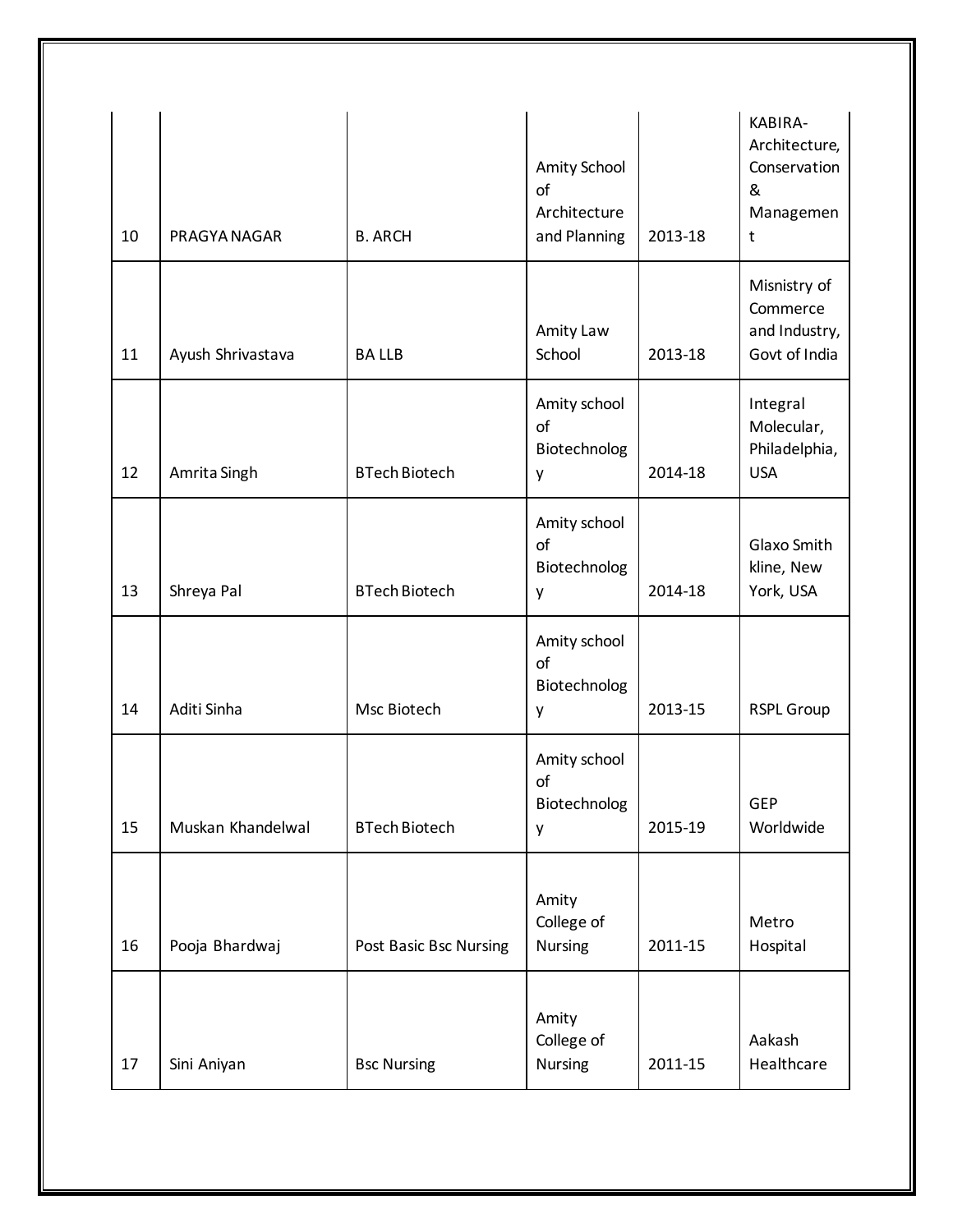| 10 | PRAGYA NAGAR      | <b>B. ARCH</b>         | Amity School<br>of<br>Architecture<br>and Planning | 2013-18 | KABIRA-<br>Architecture,<br>Conservation<br>&<br>Managemen<br>$\mathsf{t}$ |
|----|-------------------|------------------------|----------------------------------------------------|---------|----------------------------------------------------------------------------|
| 11 | Ayush Shrivastava | <b>BALLB</b>           | Amity Law<br>School                                | 2013-18 | Misnistry of<br>Commerce<br>and Industry,<br>Govt of India                 |
| 12 | Amrita Singh      | <b>BTech Biotech</b>   | Amity school<br>of<br>Biotechnolog<br>y            | 2014-18 | Integral<br>Molecular,<br>Philadelphia,<br><b>USA</b>                      |
| 13 | Shreya Pal        | <b>BTech Biotech</b>   | Amity school<br>of<br>Biotechnolog<br>y            | 2014-18 | Glaxo Smith<br>kline, New<br>York, USA                                     |
| 14 | Aditi Sinha       | Msc Biotech            | Amity school<br>of<br>Biotechnolog<br>у            | 2013-15 | <b>RSPL Group</b>                                                          |
| 15 | Muskan Khandelwal | <b>BTech Biotech</b>   | Amity school<br>of<br>Biotechnolog<br>y            | 2015-19 | GEP<br>Worldwide                                                           |
| 16 | Pooja Bhardwaj    | Post Basic Bsc Nursing | Amity<br>College of<br>Nursing                     | 2011-15 | Metro<br>Hospital                                                          |
| 17 | Sini Aniyan       | <b>Bsc Nursing</b>     | Amity<br>College of<br>Nursing                     | 2011-15 | Aakash<br>Healthcare                                                       |